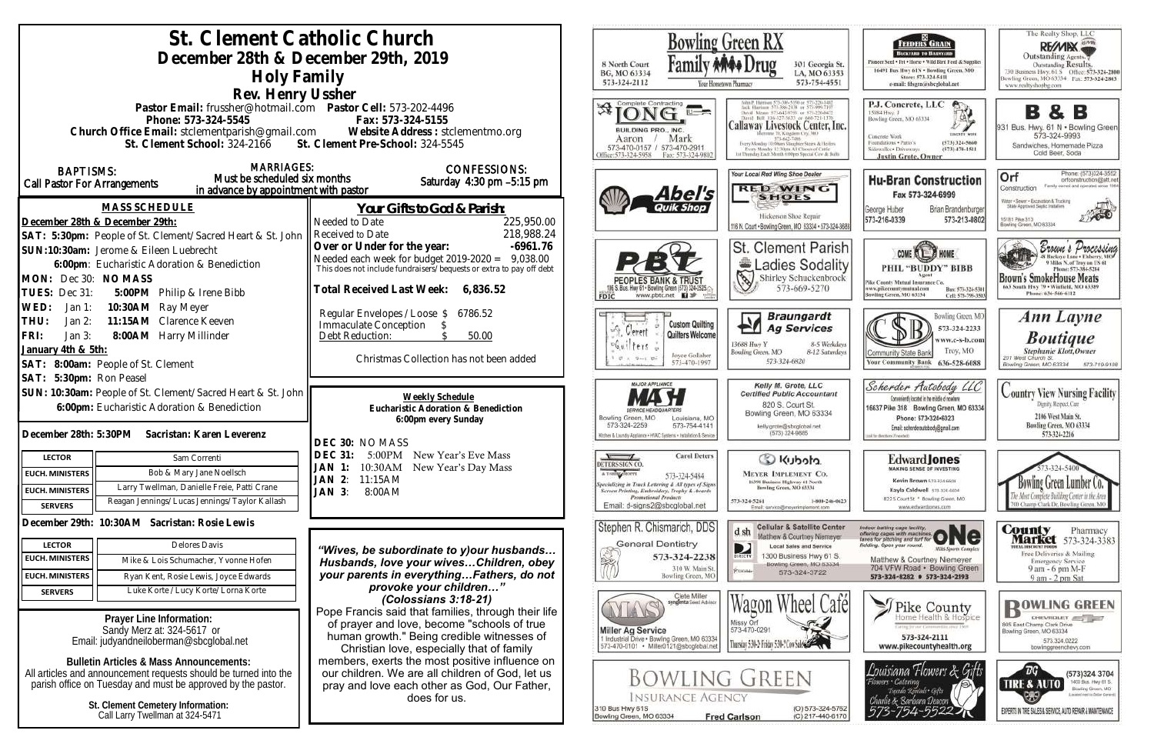| St. Clement Catholic Church<br>December 28th & December 29th, 2019<br>Holy Family<br>Rev. Henry Ussher                                                                                                                                                                         | Bowling Green RX<br>8 North Court<br>301 Georgia St.<br>BG, MO 63334<br>LA, MO 63353<br>573-324-2112<br>573-754-4551<br>Your Hometown Pharmacy                                                                                                  |                                                                                                                                                                                                                                                                                                                                                                                                                           |
|--------------------------------------------------------------------------------------------------------------------------------------------------------------------------------------------------------------------------------------------------------------------------------|-------------------------------------------------------------------------------------------------------------------------------------------------------------------------------------------------------------------------------------------------|---------------------------------------------------------------------------------------------------------------------------------------------------------------------------------------------------------------------------------------------------------------------------------------------------------------------------------------------------------------------------------------------------------------------------|
| Pastor Email: frussher@hotmail.com    Pastor Cell: 573-202-4496<br>Phone: 573-324-5545<br>Church Office Email: stclementparish@gmail.com Website Address : stclementmo.org<br>St. Clement School: 324-2166 St. Clement Pre-School: 324-5545                                    | Fax: 573-324-5155                                                                                                                                                                                                                               | Complete Contracting<br>Callaway Livestock Center, Inc.<br>BUILDING PRO., INC.<br>mane 70, Kingdom City, MO<br>Mark<br>Aaron<br>573-643-7486<br>Every Monday 10:00am Stagpher Steers & Heilers<br>573-470-0157 / 573-470-2911<br>Every Monday 12-30nm All Classes of Cattle<br>iat Thursday Each Month 6:00pm Special Cow & Bull<br>Hfige:573-324-5958<br>Fax: 573-324-9802                                               |
| <b>MARRIAGES:</b><br><b>BAPTISMS:</b><br>Must be scheduled six months<br>Call Pastor For Arrangements<br>in advance by appointment with pastor                                                                                                                                 | <b>CONFESSIONS:</b><br>Saturday 4:30 pm -5:15 pm                                                                                                                                                                                                | Your Local Red Wing Shoe Dealer<br><b>RED WING</b><br>Abel's<br><b>SHOES</b>                                                                                                                                                                                                                                                                                                                                              |
| <b>MASS SCHEDULE</b><br>December 28th & December 29th:<br>SAT: 5:30pm: People of St. Clement/Sacred Heart & St. John                                                                                                                                                           | Your Gifts to God & Parish:<br>225,950.00<br>Needed to Date<br>218,988.24<br>Received to Date                                                                                                                                                   | Hickerson Shoe Repair<br>116 N. Court . Bowling Green, MO 63334 . 573-324-3686                                                                                                                                                                                                                                                                                                                                            |
| SUN:10:30am: Jerome & Eileen Luebrecht<br>6:00pm: Eucharistic Adoration & Benediction<br>MON: Dec 30: NO MASS<br>TUES: Dec 31:<br>5:00PM Philip & Irene Bibb                                                                                                                   | Over or Under for the year:<br>$-6961.76$<br>Needed each week for budget 2019-2020 = 9,038.00<br>This does not include fundraisers/bequests or extra to pay off debt<br>Total Received Last Week: 6,836.52                                      | St. Clement Parish<br>Ladies Sodality<br>S<br>Shirley Schuckenbrock<br>573-669-5270<br>www.pbtc.net <b>El</b><br><b>FDIC</b>                                                                                                                                                                                                                                                                                              |
| 10:30AM Ray Meyer<br>WED:<br>Jan 1:<br>11:15AM Clarence Keeven<br>THU:<br>Jan $2:$<br>FRI:<br>8:00AM Harry Millinder<br>Jan $3:$<br>January 4th & 5th:<br>SAT: 8:00am: People of St. Clement                                                                                   | Regular Envelopes / Loose \$<br>6786.52<br><b>Immaculate Conception</b><br>Debt Reduction:<br>50.00<br>Christmas Collection has not been added                                                                                                  | <b>Braungardt</b><br>H١<br><b>Custom Quilting</b><br><b>Ag Services</b><br>uÑ.<br>Gerent<br>Quilters Welcome<br>8-5 Weekdays<br>13688 Huy Y<br>$f$ e $f$ s<br>Bowling Green, MO<br>8-12 Saturdays<br>Joyce Gollaher<br>573-324-6820<br>573-470-1997                                                                                                                                                                       |
| SAT: 5:30pm: Ron Peasel<br>SUN: 10:30am: People of St. Clement/Sacred Heart & St. John<br>6:00pm: Eucharistic Adoration & Benediction<br>December 28th: 5:30PM Sacristan: Karen Leverenz                                                                                       | Weekly Schedule<br>Eucharistic Adoration & Benediction<br>6:00pm every Sunday                                                                                                                                                                   | <b>MAJOR APPLIANCE</b><br>Kelly M. Grote, LLC<br><b>Certified Public Accountant</b><br>820 S. Court St.<br>Bowling Green, MO 63334<br>Bowling Green, MO<br>Louisiana, MO<br>573-324-2259<br>573-754-4141<br>kelly.grote@sbcglobal.net<br>(573) 324-9885<br>Kitchen & Laundry Appliance . HVAC Systems . Installation & Service                                                                                            |
| <b>LECTOR</b><br>Sam Correnti<br>Bob & Mary Jane Noellsch<br><b>EUCH. MINISTERS</b><br>Larry Twellman, Danielle Freie, Patti Crane<br><b>EUCH. MINISTERS</b><br>Reagan Jennings/Lucas Jennings/Taylor Kallash<br><b>SERVERS</b>                                                | DEC 30: NO MASS<br><b>DEC 31:</b><br>5:00PM New Year's Eve Mass<br>10:30AM New Year's Day Mass<br>JAN 1:<br>11:15AM<br>JAN 2:<br>JAN 3:<br>8:00AM                                                                                               | <b>Carol Deters</b><br>C Kubota<br>DETERS SIGN CO<br>A T-SHIRT SHOPPE<br><b>MEYER IMPLEMENT CO.</b><br>573-324-5484<br>16398 Business Highway 61 North<br>Specializing in Truck Lettering & All types of Signs<br>Bowling Green, MO 63334<br>Screen Printing, Embroidery, Trophy & Awards<br>Promotional Products<br>573-324-5261<br>1-800-246-0623<br>Email: d-signs2@sbcglobal.net<br>Email: service@meyerimplement.com |
| December 29th: 10:30AM Sacristan: Rosie Lewis<br>Delores Davis<br><b>LECTOR</b><br><b>EUCH. MINISTERS</b><br>Mike & Lois Schumacher, Yvonne Hofen<br><b>EUCH. MINISTERS</b><br>Ryan Kent, Rosie Lewis, Joyce Edwards<br>Luke Korte / Lucy Korte/ Lorna Korte<br><b>SERVERS</b> | "Wives, be subordinate to y) our husbands<br>Husbands, love your wives Children, obey<br>your parents in everythingFathers, do not<br>provoke your children"<br>(Colossians 3:18-21)                                                            | Stephen R. Chismarich, DDS<br><b>Cellular &amp; Satellite Center</b><br>d sh<br>Matthew & Courtney Niemeyer<br><b>General Dentistry</b><br><b>Local Sales and Service</b><br>D<br>1300 Business Hwy 61 S.<br>573-324-2238<br>BIRECTY<br>陜<br>Bowling Green, MO 63334<br>310 W. Main St.<br>RUIGNE<br>573-324-3722<br>Bowling Green, MO<br>Clete Miller                                                                    |
| Prayer Line Information:<br>Sandy Merz at: 324-5617 or<br>Email: judyandneiloberman@sbcglobal.net<br><b>Bulletin Articles &amp; Mass Announcements:</b>                                                                                                                        | Pope Francis said that families, through their life<br>of prayer and love, become "schools of true<br>human growth." Being credible witnesses of<br>Christian love, especially that of family<br>members, exerts the most positive influence on | syngenta Soud Advisor<br>Missy Orf<br>573-470-0291<br><b>Miller Ag Service</b><br>1 Industrial Drive . Bowling Green, MO 63334<br>Thursday 5:34-2: Friday 5:34-2 Cow Sales<br>573-470-0101 · Miller0121@sbcglobal.net                                                                                                                                                                                                     |
| All articles and announcement requests should be turned into the<br>parish office on Tuesday and must be approved by the pastor.<br>St. Clement Cemetery Information:<br>Call Larry Twellman at 324-5471                                                                       | our children. We are all children of God, let us<br>pray and love each other as God, Our Father,<br>does for us.                                                                                                                                | <b>BOWLING GREEN</b><br><b>INSURANCE AGENCY</b><br>(O) 573-324-5762<br>310 Bus Hwy 61S<br>Bowling Green, MO 63334<br><b>Fred Carlson</b><br>(C) 217-440-6170                                                                                                                                                                                                                                                              |